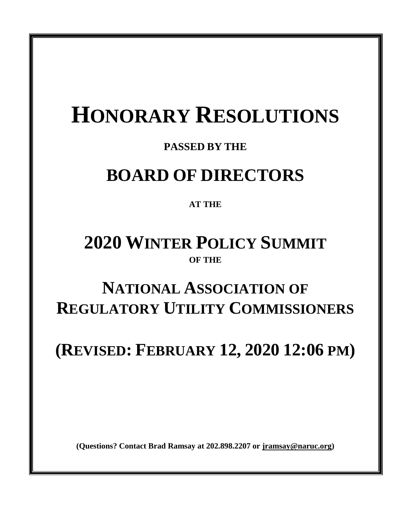# **HONORARY RESOLUTIONS**

### **PASSED BY THE**

## **BOARD OF DIRECTORS**

### **AT THE**

## **2020 WINTER POLICY SUMMIT OF THE**

## **NATIONAL ASSOCIATION OF REGULATORY UTILITY COMMISSIONERS**

**(REVISED: FEBRUARY 12, 2020 12:06 PM)**

**(Questions? Contact Brad Ramsay at 202.898.2207 or [jramsay@naruc.org\)](mailto:jramsay@naruc.org)**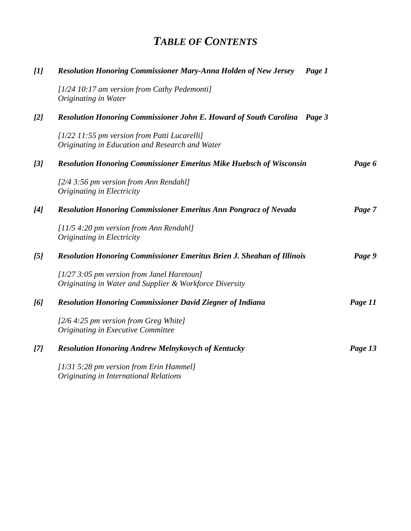### *TABLE OF CONTENTS*

| $[1]$ | <b>Resolution Honoring Commissioner Mary-Anna Holden of New Jersey</b><br>Page 1                        |         |
|-------|---------------------------------------------------------------------------------------------------------|---------|
|       | [1/24 10:17 am version from Cathy Pedemonti]<br>Originating in Water                                    |         |
| [2]   | <b>Resolution Honoring Commissioner John E. Howard of South Carolina</b><br>Page 3                      |         |
|       | [1/22 11:55 pm version from Patti Lucarelli]<br>Originating in Education and Research and Water         |         |
| [3]   | <b>Resolution Honoring Commissioner Emeritus Mike Huebsch of Wisconsin</b>                              | Page 6  |
|       | $[2/4 3:56$ pm version from Ann Rendahl]<br>Originating in Electricity                                  |         |
| [4]   | <b>Resolution Honoring Commissioner Emeritus Ann Pongracz of Nevada</b>                                 | Page 7  |
|       | $[11/5 4:20$ pm version from Ann Rendahl]<br>Originating in Electricity                                 |         |
| [5]   | Resolution Honoring Commissioner Emeritus Brien J. Sheahan of Illinois                                  | Page 9  |
|       | $[1/27 3:05$ pm version from Janel Haretoun]<br>Originating in Water and Supplier & Workforce Diversity |         |
| [6]   | <b>Resolution Honoring Commissioner David Ziegner of Indiana</b>                                        | Page 11 |
|       | $[2/6 4:25$ pm version from Greg White]<br>Originating in Executive Committee                           |         |
| [7]   | <b>Resolution Honoring Andrew Melnykovych of Kentucky</b>                                               | Page 13 |
|       | [1/31 5:28 pm version from Erin Hammel]<br>Originating in International Relations                       |         |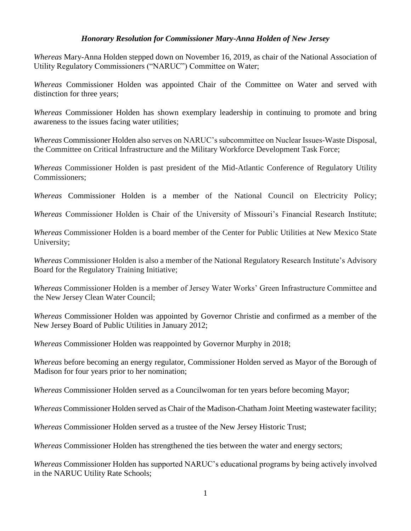#### *Honorary Resolution for Commissioner Mary-Anna Holden of New Jersey*

*Whereas* Mary-Anna Holden stepped down on November 16, 2019, as chair of the National Association of Utility Regulatory Commissioners ("NARUC") Committee on Water;

*Whereas* Commissioner Holden was appointed Chair of the Committee on Water and served with distinction for three years;

*Whereas* Commissioner Holden has shown exemplary leadership in continuing to promote and bring awareness to the issues facing water utilities;

*Whereas* Commissioner Holden also serves on NARUC's subcommittee on Nuclear Issues-Waste Disposal, the Committee on Critical Infrastructure and the Military Workforce Development Task Force;

*Whereas* Commissioner Holden is past president of the Mid-Atlantic Conference of Regulatory Utility Commissioners;

*Whereas* Commissioner Holden is a member of the National Council on Electricity Policy;

*Whereas* Commissioner Holden is Chair of the University of Missouri's Financial Research Institute;

*Whereas* Commissioner Holden is a board member of the Center for Public Utilities at New Mexico State University;

*Whereas* Commissioner Holden is also a member of the National Regulatory Research Institute's Advisory Board for the Regulatory Training Initiative;

*Whereas* Commissioner Holden is a member of Jersey Water Works' Green Infrastructure Committee and the New Jersey Clean Water Council;

*Whereas* Commissioner Holden was appointed by Governor Christie and confirmed as a member of the New Jersey Board of Public Utilities in January 2012;

*Whereas* Commissioner Holden was reappointed by Governor Murphy in 2018;

*Whereas* before becoming an energy regulator, Commissioner Holden served as Mayor of the Borough of Madison for four years prior to her nomination;

*Whereas* Commissioner Holden served as a Councilwoman for ten years before becoming Mayor;

*Whereas* Commissioner Holden served as Chair of the Madison-Chatham Joint Meeting wastewater facility;

*Whereas* Commissioner Holden served as a trustee of the New Jersey Historic Trust;

*Whereas* Commissioner Holden has strengthened the ties between the water and energy sectors;

*Whereas* Commissioner Holden has supported NARUC's educational programs by being actively involved in the NARUC Utility Rate Schools;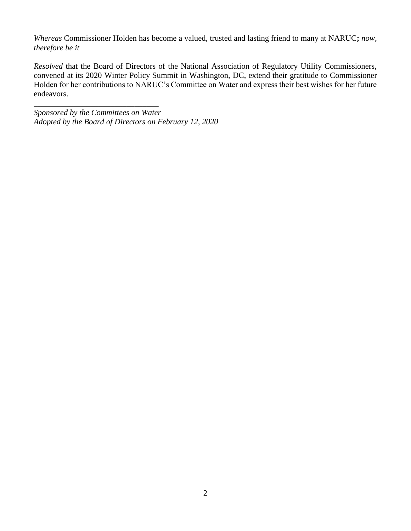*Whereas* Commissioner Holden has become a valued, trusted and lasting friend to many at NARUC**;** *now, therefore be it*

*Resolved* that the Board of Directors of the National Association of Regulatory Utility Commissioners, convened at its 2020 Winter Policy Summit in Washington, DC, extend their gratitude to Commissioner Holden for her contributions to NARUC's Committee on Water and express their best wishes for her future endeavors.

*Sponsored by the Committees on Water Adopted by the Board of Directors on February 12, 2020*

\_\_\_\_\_\_\_\_\_\_\_\_\_\_\_\_\_\_\_\_\_\_\_\_\_\_\_\_\_\_\_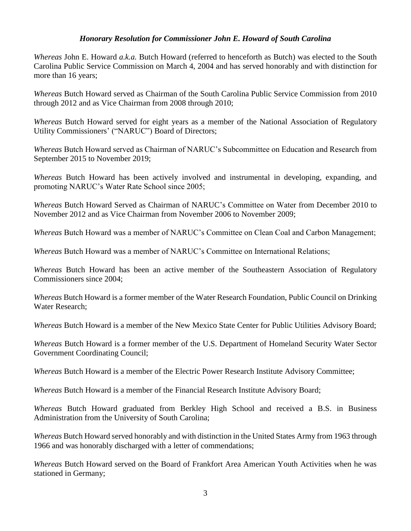#### *Honorary Resolution for Commissioner John E. Howard of South Carolina*

*Whereas* John E. Howard *a.k.a.* Butch Howard (referred to henceforth as Butch) was elected to the South Carolina Public Service Commission on March 4, 2004 and has served honorably and with distinction for more than 16 years;

*Whereas* Butch Howard served as Chairman of the South Carolina Public Service Commission from 2010 through 2012 and as Vice Chairman from 2008 through 2010;

*Whereas* Butch Howard served for eight years as a member of the National Association of Regulatory Utility Commissioners' ("NARUC") Board of Directors;

*Whereas* Butch Howard served as Chairman of NARUC's Subcommittee on Education and Research from September 2015 to November 2019;

*Whereas* Butch Howard has been actively involved and instrumental in developing, expanding, and promoting NARUC's Water Rate School since 2005;

*Whereas* Butch Howard Served as Chairman of NARUC's Committee on Water from December 2010 to November 2012 and as Vice Chairman from November 2006 to November 2009;

*Whereas* Butch Howard was a member of NARUC's Committee on Clean Coal and Carbon Management;

*Whereas* Butch Howard was a member of NARUC's Committee on International Relations;

*Whereas* Butch Howard has been an active member of the Southeastern Association of Regulatory Commissioners since 2004;

*Whereas* Butch Howard is a former member of the Water Research Foundation, Public Council on Drinking Water Research;

*Whereas* Butch Howard is a member of the New Mexico State Center for Public Utilities Advisory Board;

*Whereas* Butch Howard is a former member of the U.S. Department of Homeland Security Water Sector Government Coordinating Council;

*Whereas* Butch Howard is a member of the Electric Power Research Institute Advisory Committee;

*Whereas* Butch Howard is a member of the Financial Research Institute Advisory Board;

*Whereas* Butch Howard graduated from Berkley High School and received a B.S. in Business Administration from the University of South Carolina;

*Whereas* Butch Howard served honorably and with distinction in the United States Army from 1963 through 1966 and was honorably discharged with a letter of commendations;

*Whereas* Butch Howard served on the Board of Frankfort Area American Youth Activities when he was stationed in Germany;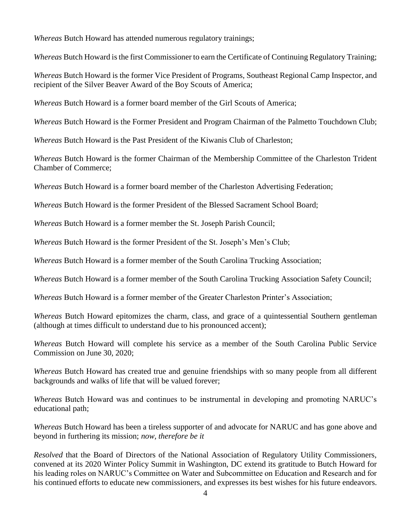*Whereas* Butch Howard has attended numerous regulatory trainings;

*Whereas* Butch Howard is the first Commissioner to earn the Certificate of Continuing Regulatory Training;

*Whereas* Butch Howard is the former Vice President of Programs, Southeast Regional Camp Inspector, and recipient of the Silver Beaver Award of the Boy Scouts of America;

*Whereas* Butch Howard is a former board member of the Girl Scouts of America;

*Whereas* Butch Howard is the Former President and Program Chairman of the Palmetto Touchdown Club;

*Whereas* Butch Howard is the Past President of the Kiwanis Club of Charleston;

*Whereas* Butch Howard is the former Chairman of the Membership Committee of the Charleston Trident Chamber of Commerce;

*Whereas* Butch Howard is a former board member of the Charleston Advertising Federation;

*Whereas* Butch Howard is the former President of the Blessed Sacrament School Board;

*Whereas* Butch Howard is a former member the St. Joseph Parish Council;

*Whereas* Butch Howard is the former President of the St. Joseph's Men's Club;

*Whereas* Butch Howard is a former member of the South Carolina Trucking Association;

*Whereas* Butch Howard is a former member of the South Carolina Trucking Association Safety Council;

*Whereas* Butch Howard is a former member of the Greater Charleston Printer's Association;

*Whereas* Butch Howard epitomizes the charm, class, and grace of a quintessential Southern gentleman (although at times difficult to understand due to his pronounced accent);

*Whereas* Butch Howard will complete his service as a member of the South Carolina Public Service Commission on June 30, 2020;

*Whereas* Butch Howard has created true and genuine friendships with so many people from all different backgrounds and walks of life that will be valued forever;

*Whereas* Butch Howard was and continues to be instrumental in developing and promoting NARUC's educational path;

*Whereas* Butch Howard has been a tireless supporter of and advocate for NARUC and has gone above and beyond in furthering its mission; *now, therefore be it*

*Resolved* that the Board of Directors of the National Association of Regulatory Utility Commissioners, convened at its 2020 Winter Policy Summit in Washington, DC extend its gratitude to Butch Howard for his leading roles on NARUC's Committee on Water and Subcommittee on Education and Research and for his continued efforts to educate new commissioners, and expresses its best wishes for his future endeavors.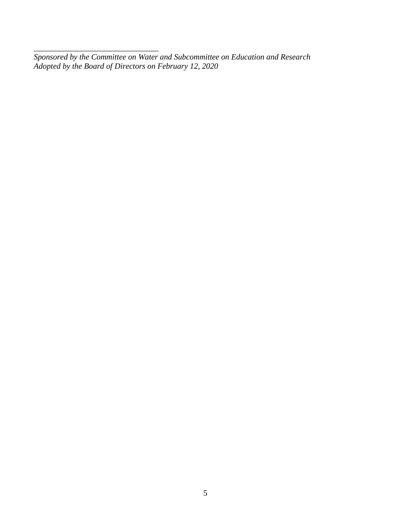*Sponsored by the Committee on Water and Subcommittee on Education and Research Adopted by the Board of Directors on February 12, 2020*

\_\_\_\_\_\_\_\_\_\_\_\_\_\_\_\_\_\_\_\_\_\_\_\_\_\_\_\_\_\_\_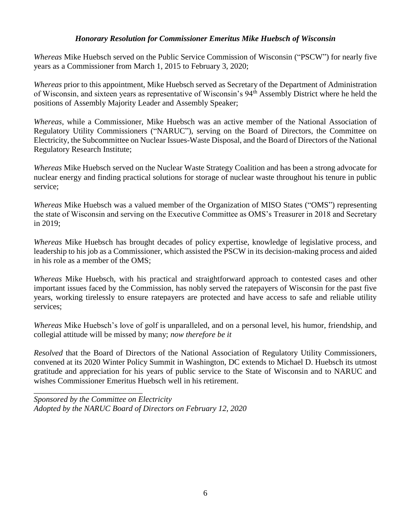#### *Honorary Resolution for Commissioner Emeritus Mike Huebsch of Wisconsin*

*Whereas* Mike Huebsch served on the Public Service Commission of Wisconsin ("PSCW") for nearly five years as a Commissioner from March 1, 2015 to February 3, 2020;

*Whereas* prior to this appointment, Mike Huebsch served as Secretary of the Department of Administration of Wisconsin, and sixteen years as representative of Wisconsin's 94th Assembly District where he held the positions of Assembly Majority Leader and Assembly Speaker;

*Whereas*, while a Commissioner, Mike Huebsch was an active member of the National Association of Regulatory Utility Commissioners ("NARUC"), serving on the Board of Directors, the Committee on Electricity, the Subcommittee on Nuclear Issues-Waste Disposal, and the Board of Directors of the National Regulatory Research Institute;

*Whereas* Mike Huebsch served on the Nuclear Waste Strategy Coalition and has been a strong advocate for nuclear energy and finding practical solutions for storage of nuclear waste throughout his tenure in public service;

*Whereas* Mike Huebsch was a valued member of the Organization of MISO States ("OMS") representing the state of Wisconsin and serving on the Executive Committee as OMS's Treasurer in 2018 and Secretary in 2019;

*Whereas* Mike Huebsch has brought decades of policy expertise, knowledge of legislative process, and leadership to his job as a Commissioner, which assisted the PSCW in its decision-making process and aided in his role as a member of the OMS;

*Whereas* Mike Huebsch, with his practical and straightforward approach to contested cases and other important issues faced by the Commission, has nobly served the ratepayers of Wisconsin for the past five years, working tirelessly to ensure ratepayers are protected and have access to safe and reliable utility services;

*Whereas* Mike Huebsch's love of golf is unparalleled, and on a personal level, his humor, friendship, and collegial attitude will be missed by many; *now therefore be it*

*Resolved* that the Board of Directors of the National Association of Regulatory Utility Commissioners, convened at its 2020 Winter Policy Summit in Washington, DC extends to Michael D. Huebsch its utmost gratitude and appreciation for his years of public service to the State of Wisconsin and to NARUC and wishes Commissioner Emeritus Huebsch well in his retirement.

*Sponsored by the Committee on Electricity Adopted by the NARUC Board of Directors on February 12, 2020*

\_\_\_\_\_\_\_\_\_\_\_\_\_\_\_\_\_\_\_\_\_\_\_\_\_\_\_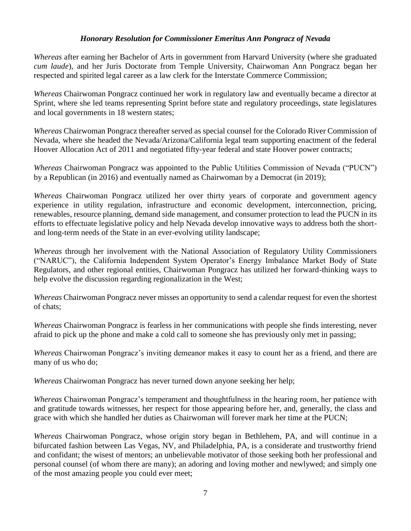#### *Honorary Resolution for Commissioner Emeritus Ann Pongracz of Nevada*

*Whereas* after earning her Bachelor of Arts in government from Harvard University (where she graduated *cum laude*), and her Juris Doctorate from Temple University, Chairwoman Ann Pongracz began her respected and spirited legal career as a law clerk for the Interstate Commerce Commission;

*Whereas* Chairwoman Pongracz continued her work in regulatory law and eventually became a director at Sprint, where she led teams representing Sprint before state and regulatory proceedings, state legislatures and local governments in 18 western states;

*Whereas* Chairwoman Pongracz thereafter served as special counsel for the Colorado River Commission of Nevada, where she headed the Nevada/Arizona/California legal team supporting enactment of the federal Hoover Allocation Act of 2011 and negotiated fifty-year federal and state Hoover power contracts;

*Whereas* Chairwoman Pongracz was appointed to the Public Utilities Commission of Nevada ("PUCN") by a Republican (in 2016) and eventually named as Chairwoman by a Democrat (in 2019);

*Whereas* Chairwoman Pongracz utilized her over thirty years of corporate and government agency experience in utility regulation, infrastructure and economic development, interconnection, pricing, renewables, resource planning, demand side management, and consumer protection to lead the PUCN in its efforts to effectuate legislative policy and help Nevada develop innovative ways to address both the shortand long-term needs of the State in an ever-evolving utility landscape;

*Whereas* through her involvement with the National Association of Regulatory Utility Commissioners ("NARUC"), the California Independent System Operator's Energy Imbalance Market Body of State Regulators, and other regional entities, Chairwoman Pongracz has utilized her forward-thinking ways to help evolve the discussion regarding regionalization in the West;

*Whereas* Chairwoman Pongracz never misses an opportunity to send a calendar request for even the shortest of chats;

*Whereas* Chairwoman Pongracz is fearless in her communications with people she finds interesting, never afraid to pick up the phone and make a cold call to someone she has previously only met in passing;

*Whereas* Chairwoman Pongracz's inviting demeanor makes it easy to count her as a friend, and there are many of us who do;

*Whereas* Chairwoman Pongracz has never turned down anyone seeking her help;

*Whereas* Chairwoman Pongracz's temperament and thoughtfulness in the hearing room, her patience with and gratitude towards witnesses, her respect for those appearing before her, and, generally, the class and grace with which she handled her duties as Chairwoman will forever mark her time at the PUCN;

*Whereas* Chairwoman Pongracz, whose origin story began in Bethlehem, PA, and will continue in a bifurcated fashion between Las Vegas, NV, and Philadelphia, PA, is a considerate and trustworthy friend and confidant; the wisest of mentors; an unbelievable motivator of those seeking both her professional and personal counsel (of whom there are many); an adoring and loving mother and newlywed; and simply one of the most amazing people you could ever meet;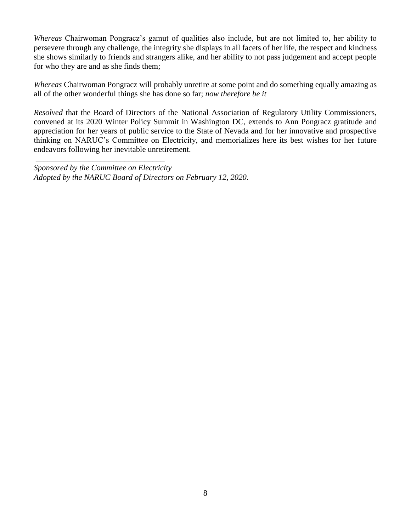*Whereas* Chairwoman Pongracz's gamut of qualities also include, but are not limited to, her ability to persevere through any challenge, the integrity she displays in all facets of her life, the respect and kindness she shows similarly to friends and strangers alike, and her ability to not pass judgement and accept people for who they are and as she finds them;

*Whereas* Chairwoman Pongracz will probably unretire at some point and do something equally amazing as all of the other wonderful things she has done so far; *now therefore be it*

*Resolved* that the Board of Directors of the National Association of Regulatory Utility Commissioners, convened at its 2020 Winter Policy Summit in Washington DC, extends to Ann Pongracz gratitude and appreciation for her years of public service to the State of Nevada and for her innovative and prospective thinking on NARUC's Committee on Electricity, and memorializes here its best wishes for her future endeavors following her inevitable unretirement.

\_\_\_\_\_\_\_\_\_\_\_\_\_\_\_\_\_\_\_\_\_\_\_\_\_\_\_\_\_\_\_\_ *Sponsored by the Committee on Electricity Adopted by the NARUC Board of Directors on February 12, 2020.*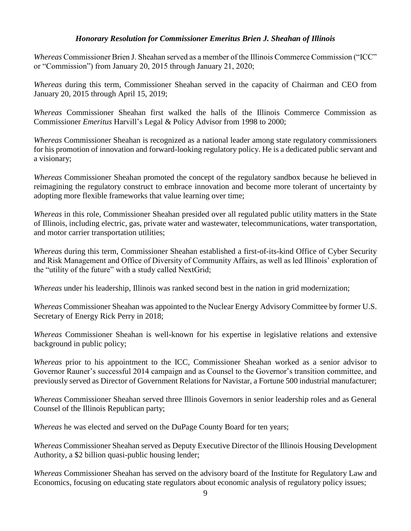#### *Honorary Resolution for Commissioner Emeritus Brien J. Sheahan of Illinois*

*Whereas* Commissioner Brien J. Sheahan served as a member of the Illinois Commerce Commission ("ICC" or "Commission") from January 20, 2015 through January 21, 2020;

*Whereas* during this term, Commissioner Sheahan served in the capacity of Chairman and CEO from January 20, 2015 through April 15, 2019;

*Whereas* Commissioner Sheahan first walked the halls of the Illinois Commerce Commission as Commissioner *Emeritus* Harvill's Legal & Policy Advisor from 1998 to 2000;

*Whereas* Commissioner Sheahan is recognized as a national leader among state regulatory commissioners for his promotion of innovation and forward-looking regulatory policy. He is a dedicated public servant and a visionary;

*Whereas* Commissioner Sheahan promoted the concept of the regulatory sandbox because he believed in reimagining the regulatory construct to embrace innovation and become more tolerant of uncertainty by adopting more flexible frameworks that value learning over time;

*Whereas* in this role, Commissioner Sheahan presided over all regulated public utility matters in the State of Illinois, including electric, gas, private water and wastewater, telecommunications, water transportation, and motor carrier transportation utilities;

*Whereas* during this term, Commissioner Sheahan established a first-of-its-kind Office of Cyber Security and Risk Management and Office of Diversity of Community Affairs, as well as led Illinois' exploration of the "utility of the future" with a study called NextGrid;

*Whereas* under his leadership, Illinois was ranked second best in the nation in grid modernization;

*Whereas* Commissioner Sheahan was appointed to the Nuclear Energy Advisory Committee by former U.S. Secretary of Energy Rick Perry in 2018;

*Whereas* Commissioner Sheahan is well-known for his expertise in legislative relations and extensive background in public policy;

*Whereas* prior to his appointment to the ICC, Commissioner Sheahan worked as a senior advisor to Governor Rauner's successful 2014 campaign and as Counsel to the Governor's transition committee, and previously served as Director of Government Relations for Navistar, a Fortune 500 industrial manufacturer;

*Whereas* Commissioner Sheahan served three Illinois Governors in senior leadership roles and as General Counsel of the Illinois Republican party;

*Whereas* he was elected and served on the DuPage County Board for ten years;

*Whereas* Commissioner Sheahan served as Deputy Executive Director of the Illinois Housing Development Authority, a \$2 billion quasi-public housing lender;

*Whereas* Commissioner Sheahan has served on the advisory board of the Institute for Regulatory Law and Economics, focusing on educating state regulators about economic analysis of regulatory policy issues;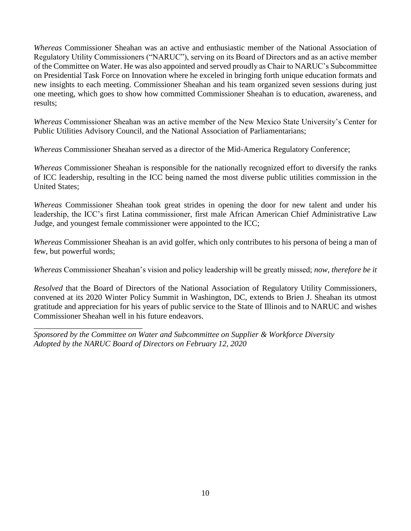*Whereas* Commissioner Sheahan was an active and enthusiastic member of the National Association of Regulatory Utility Commissioners ("NARUC"), serving on its Board of Directors and as an active member of the Committee on Water. He was also appointed and served proudly as Chair to NARUC's Subcommittee on Presidential Task Force on Innovation where he exceled in bringing forth unique education formats and new insights to each meeting. Commissioner Sheahan and his team organized seven sessions during just one meeting, which goes to show how committed Commissioner Sheahan is to education, awareness, and results;

*Whereas* Commissioner Sheahan was an active member of the New Mexico State University's Center for Public Utilities Advisory Council, and the National Association of Parliamentarians;

*Whereas* Commissioner Sheahan served as a director of the Mid-America Regulatory Conference;

*Whereas* Commissioner Sheahan is responsible for the nationally recognized effort to diversify the ranks of ICC leadership, resulting in the ICC being named the most diverse public utilities commission in the United States;

*Whereas* Commissioner Sheahan took great strides in opening the door for new talent and under his leadership, the ICC's first Latina commissioner, first male African American Chief Administrative Law Judge, and youngest female commissioner were appointed to the ICC;

*Whereas* Commissioner Sheahan is an avid golfer, which only contributes to his persona of being a man of few, but powerful words;

*Whereas* Commissioner Sheahan's vision and policy leadership will be greatly missed; *now, therefore be it*

*Resolved* that the Board of Directors of the National Association of Regulatory Utility Commissioners, convened at its 2020 Winter Policy Summit in Washington, DC, extends to Brien J. Sheahan its utmost gratitude and appreciation for his years of public service to the State of Illinois and to NARUC and wishes Commissioner Sheahan well in his future endeavors.

*Sponsored by the Committee on Water and Subcommittee on Supplier & Workforce Diversity Adopted by the NARUC Board of Directors on February 12, 2020*

\_\_\_\_\_\_\_\_\_\_\_\_\_\_\_\_\_\_\_\_\_\_\_\_\_\_\_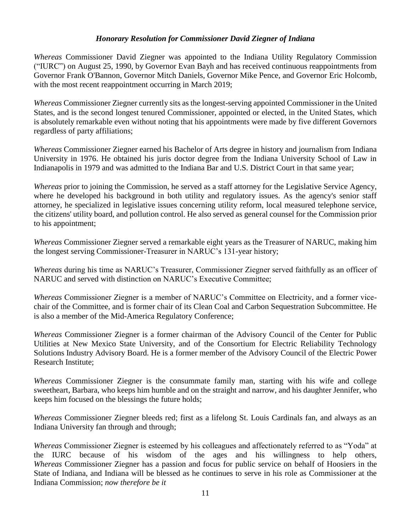#### *Honorary Resolution for Commissioner David Ziegner of Indiana*

*Whereas* Commissioner David Ziegner was appointed to the Indiana Utility Regulatory Commission ("IURC") on August 25, 1990, by Governor Evan Bayh and has received continuous reappointments from Governor Frank O'Bannon, Governor Mitch Daniels, Governor Mike Pence, and Governor Eric Holcomb, with the most recent reappointment occurring in March 2019;

*Whereas* Commissioner Ziegner currently sits as the longest-serving appointed Commissioner in the United States, and is the second longest tenured Commissioner, appointed or elected, in the United States, which is absolutely remarkable even without noting that his appointments were made by five different Governors regardless of party affiliations;

*Whereas* Commissioner Ziegner earned his Bachelor of Arts degree in history and journalism from Indiana University in 1976. He obtained his juris doctor degree from the Indiana University School of Law in Indianapolis in 1979 and was admitted to the Indiana Bar and U.S. District Court in that same year;

*Whereas* prior to joining the Commission, he served as a staff attorney for the Legislative Service Agency, where he developed his background in both utility and regulatory issues. As the agency's senior staff attorney, he specialized in legislative issues concerning utility reform, local measured telephone service, the citizens' utility board, and pollution control. He also served as general counsel for the Commission prior to his appointment;

*Whereas* Commissioner Ziegner served a remarkable eight years as the Treasurer of NARUC, making him the longest serving Commissioner-Treasurer in NARUC's 131-year history;

*Whereas* during his time as NARUC's Treasurer, Commissioner Ziegner served faithfully as an officer of NARUC and served with distinction on NARUC's Executive Committee;

*Whereas* Commissioner Ziegner is a member of NARUC's Committee on Electricity, and a former vicechair of the Committee, and is former chair of its Clean Coal and Carbon Sequestration Subcommittee. He is also a member of the Mid-America Regulatory Conference;

*Whereas* Commissioner Ziegner is a former chairman of the Advisory Council of the Center for Public Utilities at New Mexico State University, and of the Consortium for Electric Reliability Technology Solutions Industry Advisory Board. He is a former member of the Advisory Council of the Electric Power Research Institute;

*Whereas* Commissioner Ziegner is the consummate family man, starting with his wife and college sweetheart, Barbara, who keeps him humble and on the straight and narrow, and his daughter Jennifer, who keeps him focused on the blessings the future holds;

*Whereas* Commissioner Ziegner bleeds red; first as a lifelong St. Louis Cardinals fan, and always as an Indiana University fan through and through;

*Whereas* Commissioner Ziegner is esteemed by his colleagues and affectionately referred to as "Yoda" at the IURC because of his wisdom of the ages and his willingness to help others, *Whereas* Commissioner Ziegner has a passion and focus for public service on behalf of Hoosiers in the State of Indiana, and Indiana will be blessed as he continues to serve in his role as Commissioner at the Indiana Commission; *now therefore be it*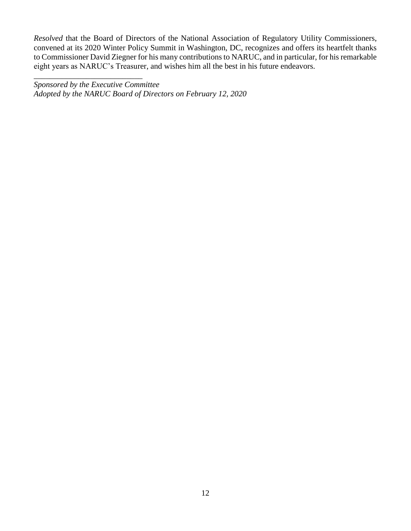*Resolved* that the Board of Directors of the National Association of Regulatory Utility Commissioners, convened at its 2020 Winter Policy Summit in Washington, DC, recognizes and offers its heartfelt thanks to Commissioner David Ziegner for his many contributions to NARUC, and in particular, for his remarkable eight years as NARUC's Treasurer, and wishes him all the best in his future endeavors.

\_\_\_\_\_\_\_\_\_\_\_\_\_\_\_\_\_\_\_\_\_\_\_\_\_\_\_ *Sponsored by the Executive Committee Adopted by the NARUC Board of Directors on February 12, 2020*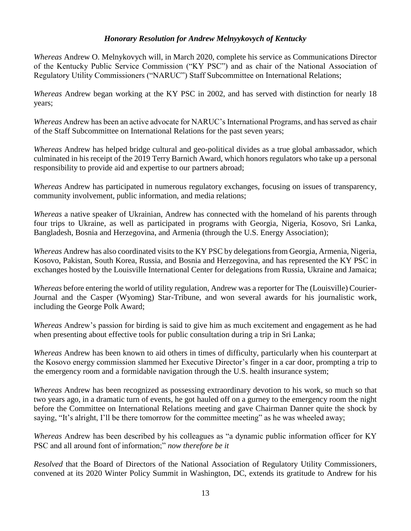#### *Honorary Resolution for Andrew Melnyykovych of Kentucky*

*Whereas* Andrew O. Melnykovych will, in March 2020, complete his service as Communications Director of the Kentucky Public Service Commission ("KY PSC") and as chair of the National Association of Regulatory Utility Commissioners ("NARUC") Staff Subcommittee on International Relations;

*Whereas* Andrew began working at the KY PSC in 2002, and has served with distinction for nearly 18 years;

*Whereas* Andrew has been an active advocate for NARUC's International Programs, and has served as chair of the Staff Subcommittee on International Relations for the past seven years;

*Whereas* Andrew has helped bridge cultural and geo-political divides as a true global ambassador, which culminated in his receipt of the 2019 Terry Barnich Award, which honors regulators who take up a personal responsibility to provide aid and expertise to our partners abroad;

*Whereas* Andrew has participated in numerous regulatory exchanges, focusing on issues of transparency, community involvement, public information, and media relations;

*Whereas* a native speaker of Ukrainian, Andrew has connected with the homeland of his parents through four trips to Ukraine, as well as participated in programs with Georgia, Nigeria, Kosovo, Sri Lanka, Bangladesh, Bosnia and Herzegovina, and Armenia (through the U.S. Energy Association);

*Whereas* Andrew has also coordinated visits to the KY PSC by delegations from Georgia, Armenia, Nigeria, Kosovo, Pakistan, South Korea, Russia, and Bosnia and Herzegovina, and has represented the KY PSC in exchanges hosted by the Louisville International Center for delegations from Russia, Ukraine and Jamaica;

*Whereas* before entering the world of utility regulation, Andrew was a reporter for The (Louisville) Courier-Journal and the Casper (Wyoming) Star-Tribune, and won several awards for his journalistic work, including the George Polk Award;

*Whereas* Andrew's passion for birding is said to give him as much excitement and engagement as he had when presenting about effective tools for public consultation during a trip in Sri Lanka;

*Whereas* Andrew has been known to aid others in times of difficulty, particularly when his counterpart at the Kosovo energy commission slammed her Executive Director's finger in a car door, prompting a trip to the emergency room and a formidable navigation through the U.S. health insurance system;

*Whereas* Andrew has been recognized as possessing extraordinary devotion to his work, so much so that two years ago, in a dramatic turn of events, he got hauled off on a gurney to the emergency room the night before the Committee on International Relations meeting and gave Chairman Danner quite the shock by saying, "It's alright, I'll be there tomorrow for the committee meeting" as he was wheeled away;

*Whereas* Andrew has been described by his colleagues as "a dynamic public information officer for KY PSC and all around font of information;" *now therefore be it*

*Resolved* that the Board of Directors of the National Association of Regulatory Utility Commissioners, convened at its 2020 Winter Policy Summit in Washington, DC, extends its gratitude to Andrew for his